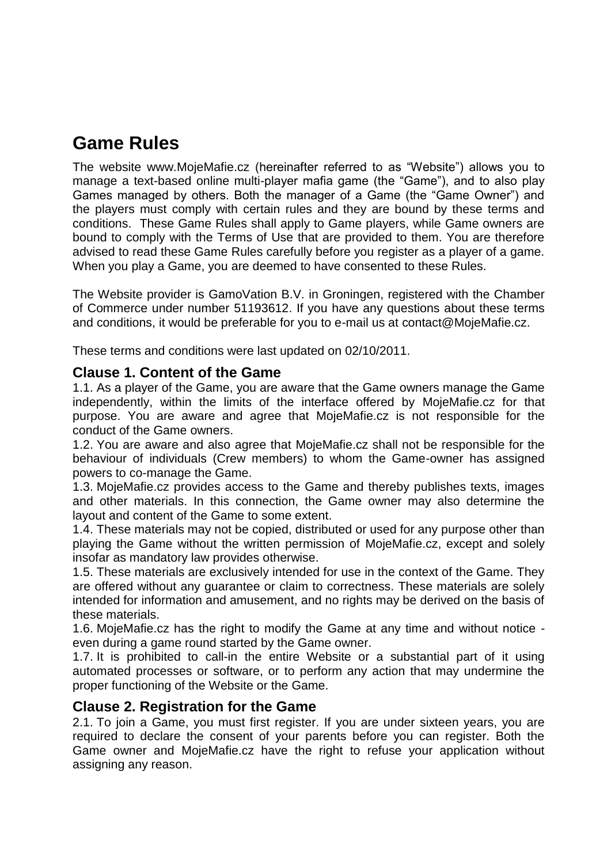# **Game Rules**

The website www.MojeMafie.cz (hereinafter referred to as "Website") allows you to manage a text-based online multi-player mafia game (the "Game"), and to also play Games managed by others. Both the manager of a Game (the "Game Owner") and the players must comply with certain rules and they are bound by these terms and conditions. These Game Rules shall apply to Game players, while Game owners are bound to comply with the Terms of Use that are provided to them. You are therefore advised to read these Game Rules carefully before you register as a player of a game. When you play a Game, you are deemed to have consented to these Rules.

The Website provider is GamoVation B.V. in Groningen, registered with the Chamber of Commerce under number 51193612. If you have any questions about these terms and conditions, it would be preferable for you to e-mail us at contact@MojeMafie.cz.

These terms and conditions were last updated on 02/10/2011.

#### **Clause 1. Content of the Game**

1.1. As a player of the Game, you are aware that the Game owners manage the Game independently, within the limits of the interface offered by MojeMafie.cz for that purpose. You are aware and agree that MojeMafie.cz is not responsible for the conduct of the Game owners.

1.2. You are aware and also agree that MojeMafie.cz shall not be responsible for the behaviour of individuals (Crew members) to whom the Game-owner has assigned powers to co-manage the Game.

1.3. MojeMafie.cz provides access to the Game and thereby publishes texts, images and other materials. In this connection, the Game owner may also determine the layout and content of the Game to some extent.

1.4. These materials may not be copied, distributed or used for any purpose other than playing the Game without the written permission of MojeMafie.cz, except and solely insofar as mandatory law provides otherwise.

1.5. These materials are exclusively intended for use in the context of the Game. They are offered without any guarantee or claim to correctness. These materials are solely intended for information and amusement, and no rights may be derived on the basis of these materials.

1.6. MojeMafie.cz has the right to modify the Game at any time and without notice even during a game round started by the Game owner.

1.7. It is prohibited to call-in the entire Website or a substantial part of it using automated processes or software, or to perform any action that may undermine the proper functioning of the Website or the Game.

#### **Clause 2. Registration for the Game**

2.1. To join a Game, you must first register. If you are under sixteen years, you are required to declare the consent of your parents before you can register. Both the Game owner and MojeMafie.cz have the right to refuse your application without assigning any reason.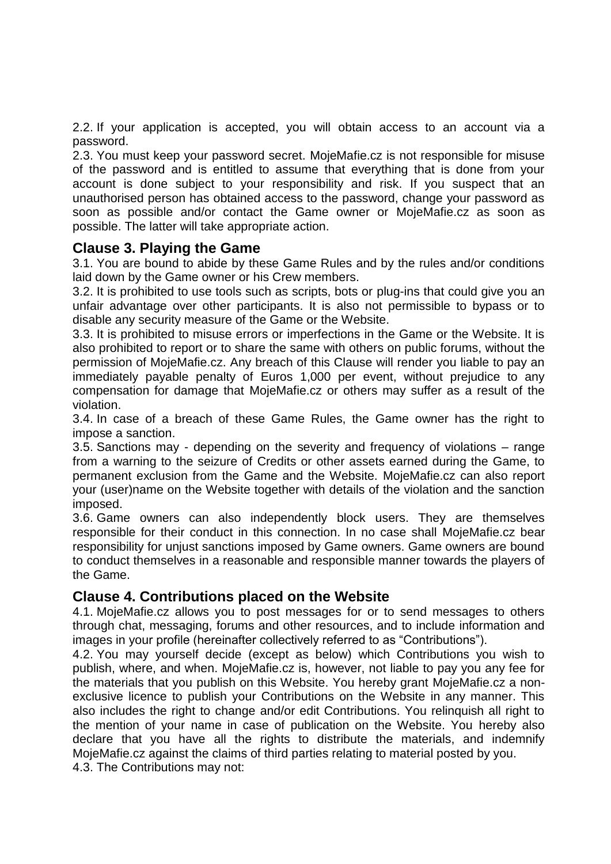2.2. If your application is accepted, you will obtain access to an account via a password.

2.3. You must keep your password secret. MojeMafie.cz is not responsible for misuse of the password and is entitled to assume that everything that is done from your account is done subject to your responsibility and risk. If you suspect that an unauthorised person has obtained access to the password, change your password as soon as possible and/or contact the Game owner or MojeMafie.cz as soon as possible. The latter will take appropriate action.

#### **Clause 3. Playing the Game**

3.1. You are bound to abide by these Game Rules and by the rules and/or conditions laid down by the Game owner or his Crew members.

3.2. It is prohibited to use tools such as scripts, bots or plug-ins that could give you an unfair advantage over other participants. It is also not permissible to bypass or to disable any security measure of the Game or the Website.

3.3. It is prohibited to misuse errors or imperfections in the Game or the Website. It is also prohibited to report or to share the same with others on public forums, without the permission of MojeMafie.cz. Any breach of this Clause will render you liable to pay an immediately payable penalty of Euros 1,000 per event, without prejudice to any compensation for damage that MojeMafie.cz or others may suffer as a result of the violation.

3.4. In case of a breach of these Game Rules, the Game owner has the right to impose a sanction.

3.5. Sanctions may - depending on the severity and frequency of violations – range from a warning to the seizure of Credits or other assets earned during the Game, to permanent exclusion from the Game and the Website. MojeMafie.cz can also report your (user)name on the Website together with details of the violation and the sanction imposed.

3.6. Game owners can also independently block users. They are themselves responsible for their conduct in this connection. In no case shall MojeMafie.cz bear responsibility for unjust sanctions imposed by Game owners. Game owners are bound to conduct themselves in a reasonable and responsible manner towards the players of the Game.

#### **Clause 4. Contributions placed on the Website**

4.1. MojeMafie.cz allows you to post messages for or to send messages to others through chat, messaging, forums and other resources, and to include information and images in your profile (hereinafter collectively referred to as "Contributions").

4.2. You may yourself decide (except as below) which Contributions you wish to publish, where, and when. MojeMafie.cz is, however, not liable to pay you any fee for the materials that you publish on this Website. You hereby grant MojeMafie.cz a nonexclusive licence to publish your Contributions on the Website in any manner. This also includes the right to change and/or edit Contributions. You relinquish all right to the mention of your name in case of publication on the Website. You hereby also declare that you have all the rights to distribute the materials, and indemnify MojeMafie.cz against the claims of third parties relating to material posted by you. 4.3. The Contributions may not: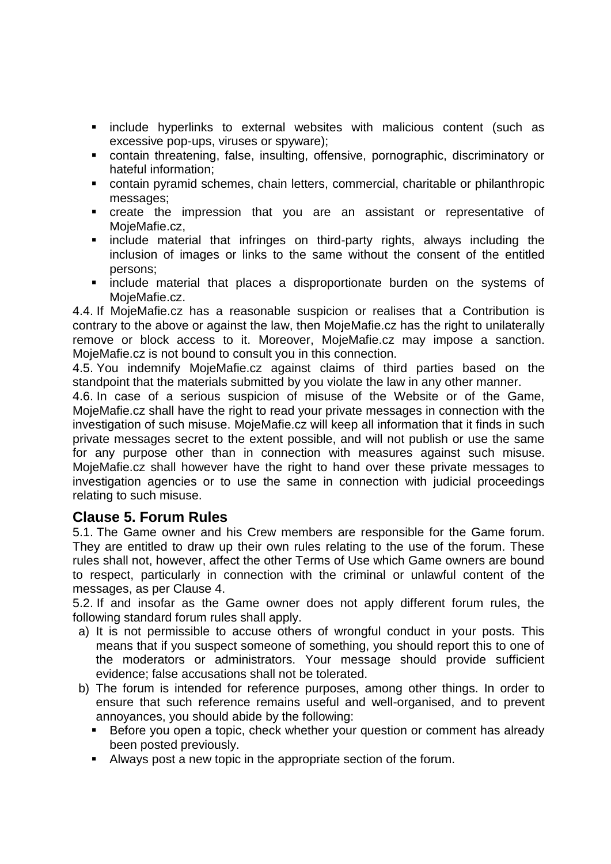- **Exercice** hyperlinks to external websites with malicious content (such as excessive pop-ups, viruses or spyware);
- contain threatening, false, insulting, offensive, pornographic, discriminatory or hateful information;
- contain pyramid schemes, chain letters, commercial, charitable or philanthropic messages;
- create the impression that you are an assistant or representative of MojeMafie.cz,
- **Example material that infringes on third-party rights, always including the** inclusion of images or links to the same without the consent of the entitled persons;
- **Example material that places a disproportionate burden on the systems of** MojeMafie.cz.

4.4. If MojeMafie.cz has a reasonable suspicion or realises that a Contribution is contrary to the above or against the law, then MojeMafie.cz has the right to unilaterally remove or block access to it. Moreover, MojeMafie.cz may impose a sanction. MojeMafie.cz is not bound to consult you in this connection.

4.5. You indemnify MojeMafie.cz against claims of third parties based on the standpoint that the materials submitted by you violate the law in any other manner.

4.6. In case of a serious suspicion of misuse of the Website or of the Game, MojeMafie.cz shall have the right to read your private messages in connection with the investigation of such misuse. MojeMafie.cz will keep all information that it finds in such private messages secret to the extent possible, and will not publish or use the same for any purpose other than in connection with measures against such misuse. MojeMafie.cz shall however have the right to hand over these private messages to investigation agencies or to use the same in connection with judicial proceedings relating to such misuse.

# **Clause 5. Forum Rules**

5.1. The Game owner and his Crew members are responsible for the Game forum. They are entitled to draw up their own rules relating to the use of the forum. These rules shall not, however, affect the other Terms of Use which Game owners are bound to respect, particularly in connection with the criminal or unlawful content of the messages, as per Clause 4.

5.2. If and insofar as the Game owner does not apply different forum rules, the following standard forum rules shall apply.

- a) It is not permissible to accuse others of wrongful conduct in your posts. This means that if you suspect someone of something, you should report this to one of the moderators or administrators. Your message should provide sufficient evidence; false accusations shall not be tolerated.
- b) The forum is intended for reference purposes, among other things. In order to ensure that such reference remains useful and well-organised, and to prevent annoyances, you should abide by the following:
	- **Before you open a topic, check whether your question or comment has already** been posted previously.
	- Always post a new topic in the appropriate section of the forum.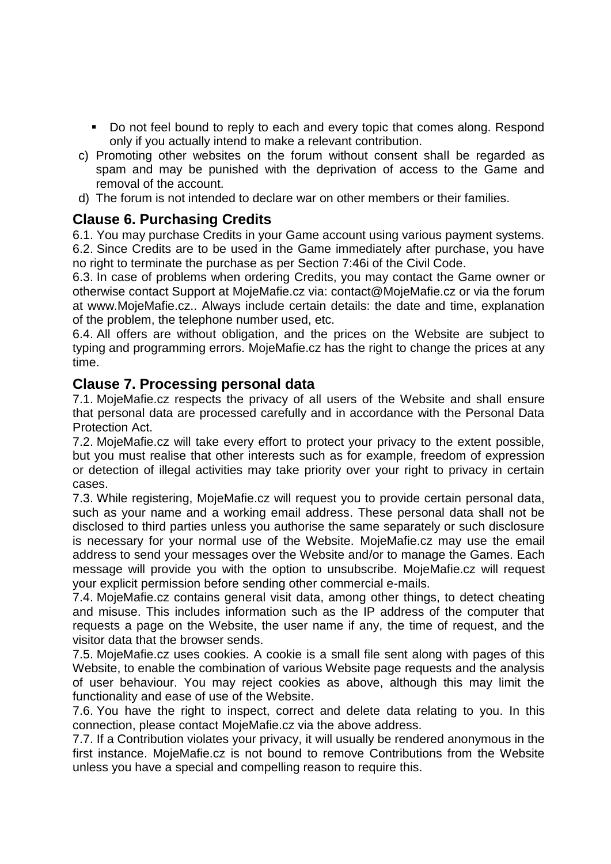- Do not feel bound to reply to each and every topic that comes along. Respond only if you actually intend to make a relevant contribution.
- c) Promoting other websites on the forum without consent shall be regarded as spam and may be punished with the deprivation of access to the Game and removal of the account.
- d) The forum is not intended to declare war on other members or their families.

#### **Clause 6. Purchasing Credits**

6.1. You may purchase Credits in your Game account using various payment systems. 6.2. Since Credits are to be used in the Game immediately after purchase, you have no right to terminate the purchase as per Section 7:46i of the Civil Code.

6.3. In case of problems when ordering Credits, you may contact the Game owner or otherwise contact Support at MojeMafie.cz via: contact@MojeMafie.cz or via the forum at www.MojeMafie.cz.. Always include certain details: the date and time, explanation of the problem, the telephone number used, etc.

6.4. All offers are without obligation, and the prices on the Website are subject to typing and programming errors. MojeMafie.cz has the right to change the prices at any time.

#### **Clause 7. Processing personal data**

7.1. MojeMafie.cz respects the privacy of all users of the Website and shall ensure that personal data are processed carefully and in accordance with the Personal Data Protection Act.

7.2. MojeMafie.cz will take every effort to protect your privacy to the extent possible, but you must realise that other interests such as for example, freedom of expression or detection of illegal activities may take priority over your right to privacy in certain cases.

7.3. While registering, MojeMafie.cz will request you to provide certain personal data, such as your name and a working email address. These personal data shall not be disclosed to third parties unless you authorise the same separately or such disclosure is necessary for your normal use of the Website. MojeMafie.cz may use the email address to send your messages over the Website and/or to manage the Games. Each message will provide you with the option to unsubscribe. MojeMafie.cz will request your explicit permission before sending other commercial e-mails.

7.4. MojeMafie.cz contains general visit data, among other things, to detect cheating and misuse. This includes information such as the IP address of the computer that requests a page on the Website, the user name if any, the time of request, and the visitor data that the browser sends.

7.5. MojeMafie.cz uses cookies. A cookie is a small file sent along with pages of this Website, to enable the combination of various Website page requests and the analysis of user behaviour. You may reject cookies as above, although this may limit the functionality and ease of use of the Website.

7.6. You have the right to inspect, correct and delete data relating to you. In this connection, please contact MojeMafie.cz via the above address.

7.7. If a Contribution violates your privacy, it will usually be rendered anonymous in the first instance. MojeMafie.cz is not bound to remove Contributions from the Website unless you have a special and compelling reason to require this.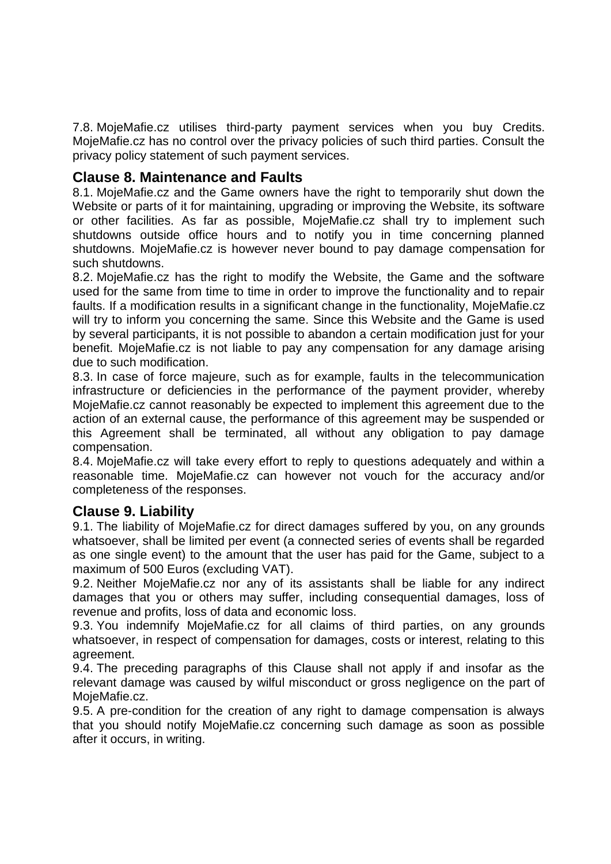7.8. MojeMafie.cz utilises third-party payment services when you buy Credits. MojeMafie.cz has no control over the privacy policies of such third parties. Consult the privacy policy statement of such payment services.

### **Clause 8. Maintenance and Faults**

8.1. MojeMafie.cz and the Game owners have the right to temporarily shut down the Website or parts of it for maintaining, upgrading or improving the Website, its software or other facilities. As far as possible, MojeMafie.cz shall try to implement such shutdowns outside office hours and to notify you in time concerning planned shutdowns. MojeMafie.cz is however never bound to pay damage compensation for such shutdowns.

8.2. MojeMafie.cz has the right to modify the Website, the Game and the software used for the same from time to time in order to improve the functionality and to repair faults. If a modification results in a significant change in the functionality, MojeMafie.cz will try to inform you concerning the same. Since this Website and the Game is used by several participants, it is not possible to abandon a certain modification just for your benefit. MojeMafie.cz is not liable to pay any compensation for any damage arising due to such modification.

8.3. In case of force majeure, such as for example, faults in the telecommunication infrastructure or deficiencies in the performance of the payment provider, whereby MojeMafie.cz cannot reasonably be expected to implement this agreement due to the action of an external cause, the performance of this agreement may be suspended or this Agreement shall be terminated, all without any obligation to pay damage compensation.

8.4. MojeMafie.cz will take every effort to reply to questions adequately and within a reasonable time. MojeMafie.cz can however not vouch for the accuracy and/or completeness of the responses.

# **Clause 9. Liability**

9.1. The liability of MojeMafie.cz for direct damages suffered by you, on any grounds whatsoever, shall be limited per event (a connected series of events shall be regarded as one single event) to the amount that the user has paid for the Game, subject to a maximum of 500 Euros (excluding VAT).

9.2. Neither MojeMafie.cz nor any of its assistants shall be liable for any indirect damages that you or others may suffer, including consequential damages, loss of revenue and profits, loss of data and economic loss.

9.3. You indemnify MojeMafie.cz for all claims of third parties, on any grounds whatsoever, in respect of compensation for damages, costs or interest, relating to this agreement.

9.4. The preceding paragraphs of this Clause shall not apply if and insofar as the relevant damage was caused by wilful misconduct or gross negligence on the part of MojeMafie.cz.

9.5. A pre-condition for the creation of any right to damage compensation is always that you should notify MojeMafie.cz concerning such damage as soon as possible after it occurs, in writing.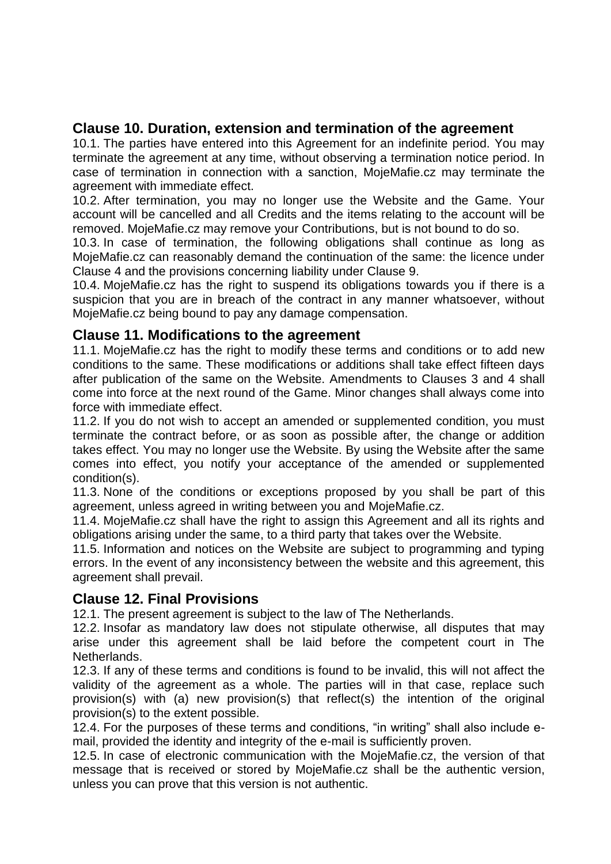# **Clause 10. Duration, extension and termination of the agreement**

10.1. The parties have entered into this Agreement for an indefinite period. You may terminate the agreement at any time, without observing a termination notice period. In case of termination in connection with a sanction, MojeMafie.cz may terminate the agreement with immediate effect.

10.2. After termination, you may no longer use the Website and the Game. Your account will be cancelled and all Credits and the items relating to the account will be removed. MojeMafie.cz may remove your Contributions, but is not bound to do so.

10.3. In case of termination, the following obligations shall continue as long as MojeMafie.cz can reasonably demand the continuation of the same: the licence under Clause 4 and the provisions concerning liability under Clause 9.

10.4. MojeMafie.cz has the right to suspend its obligations towards you if there is a suspicion that you are in breach of the contract in any manner whatsoever, without MojeMafie.cz being bound to pay any damage compensation.

# **Clause 11. Modifications to the agreement**

11.1. MojeMafie.cz has the right to modify these terms and conditions or to add new conditions to the same. These modifications or additions shall take effect fifteen days after publication of the same on the Website. Amendments to Clauses 3 and 4 shall come into force at the next round of the Game. Minor changes shall always come into force with immediate effect.

11.2. If you do not wish to accept an amended or supplemented condition, you must terminate the contract before, or as soon as possible after, the change or addition takes effect. You may no longer use the Website. By using the Website after the same comes into effect, you notify your acceptance of the amended or supplemented condition(s).

11.3. None of the conditions or exceptions proposed by you shall be part of this agreement, unless agreed in writing between you and MojeMafie.cz.

11.4. MojeMafie.cz shall have the right to assign this Agreement and all its rights and obligations arising under the same, to a third party that takes over the Website.

11.5. Information and notices on the Website are subject to programming and typing errors. In the event of any inconsistency between the website and this agreement, this agreement shall prevail.

# **Clause 12. Final Provisions**

12.1. The present agreement is subject to the law of The Netherlands.

12.2. Insofar as mandatory law does not stipulate otherwise, all disputes that may arise under this agreement shall be laid before the competent court in The Netherlands.

12.3. If any of these terms and conditions is found to be invalid, this will not affect the validity of the agreement as a whole. The parties will in that case, replace such provision(s) with (a) new provision(s) that reflect(s) the intention of the original provision(s) to the extent possible.

12.4. For the purposes of these terms and conditions, "in writing" shall also include email, provided the identity and integrity of the e-mail is sufficiently proven.

12.5. In case of electronic communication with the MojeMafie.cz, the version of that message that is received or stored by MojeMafie.cz shall be the authentic version, unless you can prove that this version is not authentic.